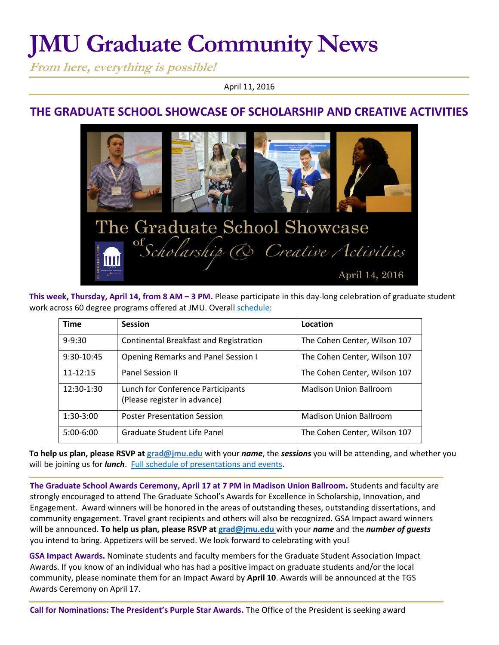# **JMU Graduate Community News**

**From here, everything is possible!**

April 11, 2016

## **THE GRADUATE SCHOOL SHOWCASE OF SCHOLARSHIP AND CREATIVE ACTIVITIES**



**This week, Thursday, April 14, from 8 AM – 3 PM.** Please participate in this day-long celebration of graduate student work across 60 degree programs offered at JMU. Overall [schedule:](http://www.jmu.edu/grad/happenings/Grad-Showcase-Program.pdf)

| <b>Time</b>  | <b>Session</b>                                                    | Location                      |
|--------------|-------------------------------------------------------------------|-------------------------------|
| $9 - 9:30$   | Continental Breakfast and Registration                            | The Cohen Center, Wilson 107  |
| 9:30-10:45   | <b>Opening Remarks and Panel Session I</b>                        | The Cohen Center, Wilson 107  |
| $11 - 12:15$ | Panel Session II                                                  | The Cohen Center, Wilson 107  |
| 12:30-1:30   | Lunch for Conference Participants<br>(Please register in advance) | <b>Madison Union Ballroom</b> |
| 1:30-3:00    | <b>Poster Presentation Session</b>                                | <b>Madison Union Ballroom</b> |
| $5:00-6:00$  | Graduate Student Life Panel                                       | The Cohen Center, Wilson 107  |

**To help us plan, please RSVP at [grad@jmu.edu](mailto:grad@jmu.edu)** with your *name*, the *sessions* you will be attending, and whether you will be joining us for *lunch*. [Full schedule of presentations and events.](http://www.jmu.edu/grad/happenings/Grad-Showcase-Program.pdf)

**The Graduate School Awards Ceremony, April 17 at 7 PM in Madison Union Ballroom.** Students and faculty are strongly encouraged to attend The Graduate School's Awards for Excellence in Scholarship, Innovation, and Engagement. Award winners will be honored in the areas of outstanding theses, outstanding dissertations, and community engagement. Travel grant recipients and others will also be recognized. GSA Impact award winners will be announced. **To help us plan, please RSVP at [grad@jmu.edu](mailto:grad@jmu.edu)** with your *name* and the *number of guests* you intend to bring. Appetizers will be served. We look forward to celebrating with you!

**GSA Impact Awards.** Nominate students and faculty members for the Graduate Student Association Impact Awards. If you know of an individual who has had a positive impact on graduate students and/or the local community, please nominate them for an Impact Award by **April 10**. Awards will be announced at the TGS Awards Ceremony on April 17.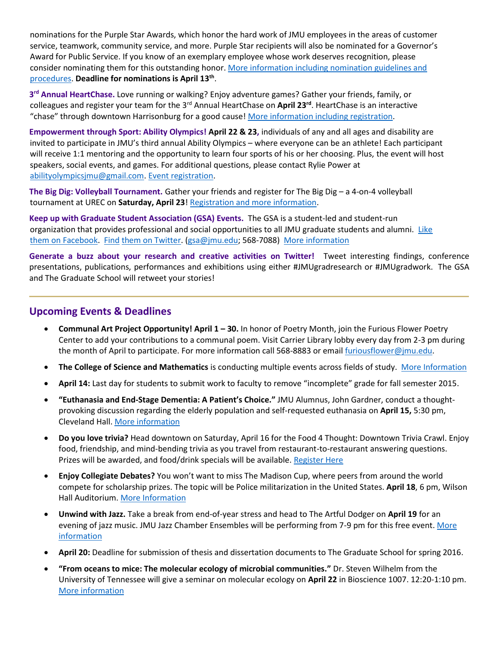nominations for the Purple Star Awards, which honor the hard work of JMU employees in the areas of customer service, teamwork, community service, and more. Purple Star recipients will also be nominated for a Governor's Award for Public Service. If you know of an exemplary employee whose work deserves recognition, please consider nominating them for this outstanding honor[. More information including nomination guidelines and](http://www.jmu.edu/humanresources/hrc/president-purple-star-awards/index.shtml)  [procedures.](http://www.jmu.edu/humanresources/hrc/president-purple-star-awards/index.shtml) **Deadline for nominations is April 13th** .

**3 rd Annual HeartChase.** Love running or walking? Enjoy adventure games? Gather your friends, family, or colleagues and register your team for the 3rd Annual HeartChase on **April 23rd**. HeartChase is an interactive "chase" through downtown Harrisonburg for a good cause! [More information including registration.](http://honor.americanheart.org/site/TR/HeartChase/NAT-HeartChase?pg=entry&fr_id=4060)

**Empowerment through Sport: Ability Olympics! April 22 & 23,** individuals of any and all ages and disability are invited to participate in JMU's third annual Ability Olympics – where everyone can be an athlete! Each participant will receive 1:1 mentoring and the opportunity to learn four sports of his or her choosing. Plus, the event will host speakers, social events, and games. For additional questions, please contact Rylie Power at [abilityolympicsjmu@gmail.com.](mailto:abilityolympicsjmu@gmail.com) [Event registration.](https://docs.google.com/forms/d/1Q4c7078RpG5U_cKVpD1Pa8L9MXEPl5RZMa2qXIdku3I/viewform?c=0&w=1)

**The Big Dig: Volleyball Tournament.** Gather your friends and register for The Big Dig – a 4-on-4 volleyball tournament at UREC on **Saturday, April 23**! [Registration and more information.](http://www.jmu.edu/mbc/exercise_medicine.html)

**Keep up with Graduate Student Association (GSA) Events.** The GSA is a student-led and student-run organization that provides professional and social opportunities to all JMU graduate students and alumni. Like [them on Facebook.](https://www.facebook.com/JMUGSA?fref=ts) [Find](https://twitter.com/JMUGSA) [them on Twitter. \(](https://twitter.com/JMUGSA)gsa@jmu.edu; 568-7088[\) More information](http://www.jmu.edu/grad/gsa/index.shtml) 

**Generate a buzz about your research and creative activities on Twitter!** Tweet interesting findings, conference presentations, publications, performances and exhibitions using either #JMUgradresearch or #JMUgradwork. The GSA and The Graduate School will retweet your stories!

### **Upcoming Events & Deadlines**

- **Communal Art Project Opportunity! April 1 – 30.** In honor of Poetry Month, join the Furious Flower Poetry Center to add your contributions to a communal poem. Visit Carrier Library lobby every day from 2-3 pm during the month of April to participate. For more information call 568-8883 or emai[l furiousflower@jmu.edu.](mailto:furiousflower@jmu.edu)
- **The College of Science and Mathematics** is conducting multiple events across fields of study.[More Information](http://www.jmu.edu/events/csm/2016/04/04-08-csm-seminar-schedule.shtml)
- **April 14:** Last day for students to submit work to faculty to remove "incomplete" grade for fall semester 2015.
- **"Euthanasia and End-Stage Dementia: A Patient's Choice."** JMU Alumnus, John Gardner, conduct a thoughtprovoking discussion regarding the elderly population and self-requested euthanasia on **April 15,** 5:30 pm, Cleveland Hall[. More information](http://www.jmu.edu/events/philrel/2016/03/03-28-2016_gardnertalk.shtml)
- **Do you love trivia?** Head downtown on Saturday, April 16 for the Food 4 Thought: Downtown Trivia Crawl. Enjoy food, friendship, and mind-bending trivia as you travel from restaurant-to-restaurant answering questions. Prizes will be awarded, and food/drink specials will be available[. Register Here](https://www.eventbrite.com/e/food-4-thought-downtown-trivia-crawl-tickets-21163743326)
- **Enjoy Collegiate Debates?** You won't want to miss The Madison Cup, where peers from around the world compete for scholarship prizes. The topic will be Police militarization in the United States. **April 18**, 6 pm, Wilson Hall Auditorium. [More Information](http://www.jmu.edu/events/2016/04/18-madison-commemorative-debate-citizen-forum.shtml)
- **Unwind with Jazz.** Take a break from end-of-year stress and head to The Artful Dodger on **April 19** for an evening of jazz music. JMU Jazz Chamber Ensembles will be performing from 7-9 pm for this free event. [More](http://www.jmu.edu/events/music/2016/04/19-jazz-chamber.shtml)  **[information](http://www.jmu.edu/events/music/2016/04/19-jazz-chamber.shtml)**
- **April 20:** Deadline for submission of thesis and dissertation documents to The Graduate School for spring 2016.
- **"From oceans to mice: The molecular ecology of microbial communities."** Dr. Steven Wilhelm from the University of Tennessee will give a seminar on molecular ecology on **April 22** in Bioscience 1007. 12:20-1:10 pm. [More information](http://www.jmu.edu/events/biology/2016/04/22-seminar.shtml)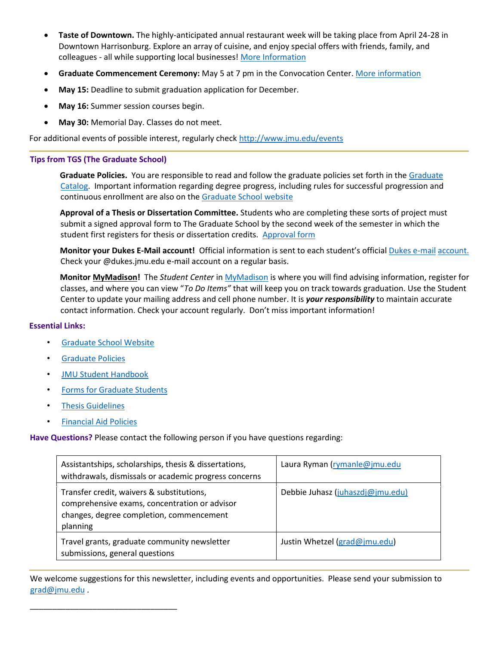- **Taste of Downtown.** The highly-anticipated annual restaurant week will be taking place from April 24-28 in Downtown Harrisonburg. Explore an array of cuisine, and enjoy special offers with friends, family, and colleagues - all while supporting local businesses! [More Information](http://downtownharrisonburg.org/events/taste-of-downtown)
- **Graduate Commencement Ceremony:** May 5 at 7 pm in the Convocation Center. [More information](http://www.jmu.edu/commencement/)
- **May 15:** Deadline to submit graduation application for December.
- **May 16:** Summer session courses begin.
- **May 30:** Memorial Day. Classes do not meet.

For additional events of possible interest, regularly check<http://www.jmu.edu/events>

#### **Tips from TGS (The Graduate School)**

**Graduate Policies.** You are responsible to read and follow the graduate policies set forth in th[e Graduate](http://jmu.edu/catalog) [Catalog.](http://jmu.edu/catalog) Important information regarding degree progress, including rules for successful progression and continuous enrollment are also on the [Graduate School website](http://www.jmu.edu/grad/current-students/degree-progress/beginning.shtml)

**Approval of a Thesis or Dissertation Committee.** Students who are completing these sorts of project must submit a signed approval form to The Graduate School by the second week of the semester in which the student first registers for thesis or dissertation credits. Approval form

**Monitor your Dukes E-Mail account!** Official information is sent to each student's offici[al](http://www.jmu.edu/computing/helpdesk/selfhelp/DukesEmail.shtml) [Dukes e-mail](http://www.jmu.edu/computing/helpdesk/selfhelp/DukesEmail.shtml) [account.](http://www.jmu.edu/computing/helpdesk/selfhelp/DukesEmail.shtml) Check your @dukes.jmu.edu e-mail account on a regular basis.

**Monit[or MyMadison!](http://mymadison.jmu.edu/)** The *Student Center* [in MyMadison](http://mymadison.jmu.edu/) [is](http://mymadison.jmu.edu/) where you will find advising information, register for classes, and where you can view "*To Do Items"* that will keep you on track towards graduation. Use the Student Center to update your mailing address and cell phone number. It is *your responsibility* to maintain accurate contact information. Check your account regularly. Don't miss important information!

#### **Essential Links:**

- [Graduate School Website](http://www.jmu.edu/grad)
- [Graduate Policies](http://www.jmu.edu/catalog/index.shtml)
- [JMU Student Handbook](http://www.jmu.edu/osarp/handbook/)
- [Forms for Graduate Students](http://www.jmu.edu/grad/current-students/graduate-forms.shtml)

\_\_\_\_\_\_\_\_\_\_\_\_\_\_\_\_\_\_\_\_\_\_\_\_\_\_\_\_\_\_\_\_\_

- [Thesis Guidelines](http://www.jmu.edu/grad/current-students/thesis-dissertation/information.shtml)
- [Financial Aid Policies](http://www.jmu.edu/finaid/sap.shtml)

#### **Have Questions?** Please contact the following person if you have questions regarding:

| Assistantships, scholarships, thesis & dissertations,<br>withdrawals, dismissals or academic progress concerns                                     | Laura Ryman (rymanle@jmu.edu     |
|----------------------------------------------------------------------------------------------------------------------------------------------------|----------------------------------|
| Transfer credit, waivers & substitutions,<br>comprehensive exams, concentration or advisor<br>changes, degree completion, commencement<br>planning | Debbie Juhasz (juhaszdj@jmu.edu) |
| Travel grants, graduate community newsletter<br>submissions, general questions                                                                     | Justin Whetzel (grad@jmu.edu)    |

We welcome suggestions for this newsletter, including events and opportunities. Please send your submission to grad@jmu.edu .